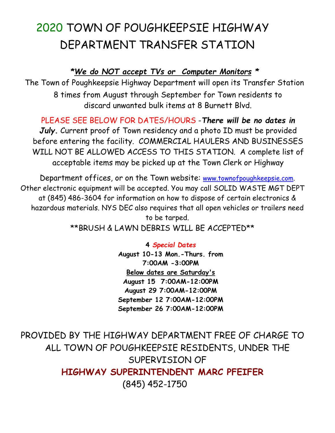# 2020 TOWN OF POUGHKEEPSIE HIGHWAY DEPARTMENT TRANSFER STATION

# *\*We do NOT accept TVs or Computer Monitors \**

The Town of Poughkeepsie Highway Department will open its Transfer Station 8 times from August through September for Town residents to discard unwanted bulk items at 8 Burnett Blvd.

PLEASE SEE BELOW FOR DATES/HOURS -*There will be no dates in July***.** Current proof of Town residency and a photo ID must be provided before entering the facility. COMMERCIAL HAULERS AND BUSINESSES WILL NOT BE ALLOWED ACCESS TO THIS STATION. A complete list of acceptable items may be picked up at the Town Clerk or Highway

Department offices, or on the Town website: [www.townofpoughkeepsie.com.](http://www.townofpoughkeepsie.com/) Other electronic equipment will be accepted. You may call SOLID WASTE MGT DEPT at (845) 486-3604 for information on how to dispose of certain electronics & hazardous materials. NYS DEC also requires that all open vehicles or trailers need to be tarped.

\*\*BRUSH & LAWN DEBRIS WILL BE ACCEPTED\*\*

**4** *Special Dates* **August 10-13 Mon.-Thurs. from 7:00AM -3:00PM Below dates are Saturday's August 15 7:00AM-12:00PM August 29 7:00AM-12:00PM September 12 7:00AM-12:00PM September 26 7:00AM-12:00PM**

PROVIDED BY THE HIGHWAY DEPARTMENT FREE OF CHARGE TO ALL TOWN OF POUGHKEEPSIE RESIDENTS, UNDER THE SUPERVISION OF **HIGHWAY SUPERINTENDENT MARC PFEIFER** (845) 452-1750